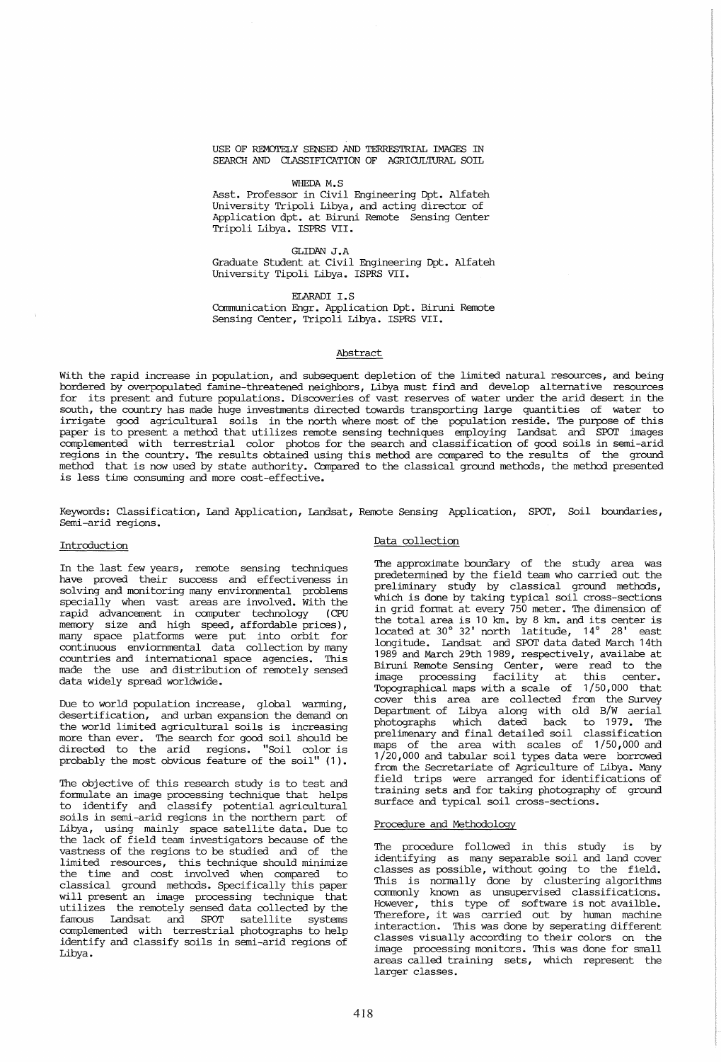USE OF REMOTELY SENSED AND TERRESTRIAL IMAGES IN SEARCH AND CLASSIFICATION OF AGRICULTURAL SOIL

#### WHEDA M.S

Asst. Professor in Civil Engineering Dpt. Alfateh University Tripoli Libya, and acting director of Application dpt. at Biruni Remote Sensing Genter Tripoli Libya. ISPRS VII.

#### GLIDAN J.A

Graduate Student at Civil Engineering Dpt. Alfateh University Tipoli Libya. ISPRS VII.

ELARADI I.S

Communication Engr. Application Dpt. Biruni Remote Sensing Genter, Tripoli Libya. ISPRS VII.

### Abstract

With the rapid increase in population, and subsequent depletion of the limited natural resources, and being borde7ed by overpopulated famine-threatened neighbors, Libya must find and develop alternative resources for its present and future populations. Discoveries of vast reserves of water under the arid desert in the south, the country has made huge investments directed towards transporting large quantities of water to irrigate good agricultural soils in the north where most of the population reside. The purpose of this paper is to present a method that utilizes remote sensing techniques employing Landsat and SPOT images complemented with terrestrial color photos for the search and classification of good soils in semi-arid regions in the country. The results obtained using this method are compared to the results of the ground method that is now used by state authority. Compared to the classical ground methods, the method presented is less time consuming and more cost-effective.

Keywords: Classification, Land Application, Landsat, Remote Sensing Application, SPOT, Soil boundaries, Semi-arid regions.

#### Introduction

In the last few years, remote sensing techniques have proved their success and effectiveness in solving and monitoring many environmental problems specially when vast areas are involved. With the rapid advancement in computer technology (CPU memory size and high speed, affordable prices), many space platforms were put into orbit for continuous enviornmental data collection by many countries and international space agencies. This made the use and distribution of remotely sensed data widely spread worldwide.

Due to world population increase, global warming, desertification, and urban expansion the demand on the world limited agricultural soils is increasing more than ever. The search for good soil should be directed to the arid regions. "Soil color is probably the most obvious feature of the soil" (1).

The objective of this research study is to test and formulate an image processing technique that helps to identify and classify potential agricultural soils in semi-arid regions in the northern part of Libya, using mainly space satellite data. Due to the lack of field team investigators because of the vastness of the regions to be studied and of the limited resources, this technique should minimize the time and cost involved when compared to classical ground methods. Specifically this paper will present an image processing technique that utilizes the remotely sensed data collected by the famous Landsat and SPOT satellite systems complemented with terrestrial photographs to help identify and classify soils in semi-arid regions of Libya.

## Data collection

The approximate boundary of the study area was predetermined by the field team who carried out the preliminary study by classical ground methods, which is done by taking typical soil cross-sections in grid format at every 750 meter. The dimension of the total area is 10 km. by 8 km. and its center is located at 300 32' north latitude, <sup>14</sup> *<sup>0</sup>*28' east longitude. Landsat and SPOT data dated March 14th 1989 and March 29th 1989, respectively, availabe at Biruni Remote Sensing Genter, were read to the image processing facility at this center. Tbpographical maps with a scale of 1/50,000 that cover this area are collected from the Survey Department of Libya along with old B/W aerial photographs which dated back to 1979. The prelimenary and final detailed soil classification maps of the area with scales of 1/50,000 and 1/20,000 and tabular soil types data were borrowed from the Secretariate of Agriculture of Libya. Many field trips were arranged for identifications of training sets and for taking photography of ground surface and typical soil cross-sections.

## Procedure and Methodology

The procedure followed in this study is by identifying as many separable soil and land cover classes as possible, without going to the field. This is normally done by clustering algorithms commonly known as unsupervised classifications. However, this type of software is not availble. Therefore, it was carried out by human machine interaction. This was done by seperating different classes visually according to their colors on the image processing monitors. This was done for small areas called training sets, which represent the larger classes.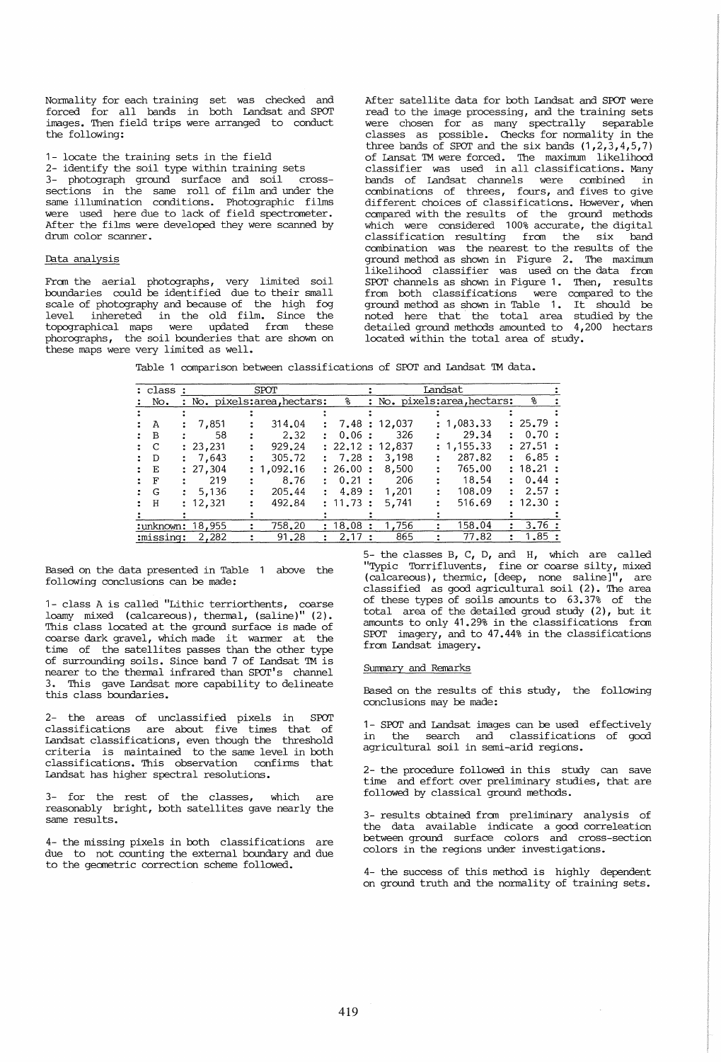Normality for each training set was checked and forced for all bands in both Landsat and SPOT images. Then field trips were arranged to conduct the following:

1- locate the training sets in the field

2- identify the soil type within training sets 3- photograph ground surface and soil crosssections in the same roll of film and under the same illumination conditions. Photographic films same illumination conditions. Photographic films<br>were used here due to lack of field spectrometer. After the films were developed they were scanned by drum color scanner.

## Data analysis

From the aerial photographs, very limited soil boundaries could be identified due to their small scale of photography and because of the high fog level inhereted in the old film. Since the topographical maps were updated from these phorographs, the soil bounderies that are shown on these maps were very limited as well.

After satellite data for both Landsat and SPOT were read to the image processing, and the training sets were chosen for as many spectrally separable classes as possible. Checks for normality in the three bands of SPOT and the six bands  $(1,2,3,4,5,7)$ of Lansat 1M were forced. The maximum likelihood classifier was used in all classifications. Many bands of Landsat channels were combined in combinations of threes, fours, and fives to give different choices of classifications. However, when compared with the results of the ground methods which were considered 100% accurate, the digital classification resulting from the six band combination was the nearest to the results of the ground method as shown in Figure 2. The maximum likelihood classifier was used on the data from SPOT channels as shown in Figure 1. Then, results from both classifications were compared to the ground method as shown in Table 1. It should be noted here that the total area studied by the detailed ground methods amounted to 4,200 hectars located within the total area of study.

|  |  |  | Table 1 comparison between classifications of SPOT and Landsat TM data. |  |  |  |  |  |  |
|--|--|--|-------------------------------------------------------------------------|--|--|--|--|--|--|
|--|--|--|-------------------------------------------------------------------------|--|--|--|--|--|--|

| : class : | SPOT |                            |  |            |  | Landsat  |  |                            |  |            |  |          |  |
|-----------|------|----------------------------|--|------------|--|----------|--|----------------------------|--|------------|--|----------|--|
| No.       |      | : No. pixels:area.hectars: |  |            |  | ႜ        |  | : No. pixels:area.hectars: |  |            |  |          |  |
|           |      |                            |  |            |  |          |  |                            |  |            |  |          |  |
| А         |      | 7,851                      |  | 314.04     |  |          |  | : 7.48 : 12.037            |  | : 1,083.33 |  | : 25.79: |  |
| B         |      | 58                         |  | 2.32       |  | 0.06:    |  | 326                        |  | 29.34      |  | : 0.70:  |  |
| C         |      | : 23,231                   |  | 929.24     |  |          |  | : 22.12 : 12.837           |  | : 1.155.33 |  | : 27.51: |  |
| D         |      | 7,643                      |  | 305.72     |  | : 7.28:  |  | 3,198                      |  | 287.82     |  | : 6.85:  |  |
| Е         |      | : 27,304                   |  | : 1,092.16 |  | : 26.00: |  | 8,500                      |  | 765.00     |  | : 18.21: |  |
| F         |      | 219                        |  | 8.76       |  | 0.21:    |  | 206                        |  | 18.54      |  | : 0.44:  |  |
| G         |      | 5,136                      |  | 205.44     |  | 4.89:    |  | 1,201                      |  | 108.09     |  | : 2.57:  |  |
| H         |      | : 12,321                   |  | 492.84     |  | : 11.73: |  | 5.741                      |  | 516.69     |  | : 12.30: |  |
|           |      |                            |  |            |  |          |  |                            |  |            |  |          |  |
|           |      | :unknown: 18,955           |  | 758.20     |  | 18.08    |  | 1.756                      |  | 158.04     |  | 3.76:    |  |
| :missing: |      | 2.282                      |  | 91.28      |  | 2.17     |  | 865                        |  | 77.82      |  | 1.85:    |  |

Based on the data presented in Table 1 above the following conclusions can be made:

1- class A is called "Lithic terriorthents, coarse loamy mixed (calcareous), thermal, (saline)" (2). This class located at the ground surface is made of coarse dark gravel, which made it warmer at the time of the satellites passes than the other type of surrounding soils. Since band 7 of Landsat TM is nearer to the thermal infrared than SPOT's channel 3. This gave Landsat more capability to delineate this class boundaries.

2- the areas of unclassified pixels in SPOT classifications are about five times that of Landsat classifications, even though the threshold criteria is maintained to the same level in both classifications. This observation confirms that Landsat has higher spectral resolutions.

3- for the rest of the classes, which are reasonably bright, both satellites gave nearly the same results.

4- the missing pixels in both classifications are due to not counting the external boundary and due to the geometric correction scheme followed.

5- the classes B, C, D, and H, which are called "Typic Torrifluvents, fine or coarse silty, mixed (calcareous), thermic,  $[deep, none saline]$ <sup>"</sup>, are classified as good agricultural soil (2). The area of these types of soils amounts to 63.37% of the total area of the detailed groud study (2), but it amounts to only 41.29% in the classifications from SPOT imagery, and to 47.44% in the classifications from Landsat imagery.

#### Summary and Remarks

Based on the results of this study, the following conclusions may be made:

1- SPOT and Landsat images can be used effectively in the search and classifications of good agricultural soil in semi-arid regions.

2- the procedure followed in this study can save time and effort over preliminary studies, that are followed by classical ground methods.

3- results obtained from preliminary analysis of the data available indicate a good correleation between ground surface colors and cross-section colors in the regions under investigations.

4- the success of this method is highly dependent on ground truth and the normality of training sets.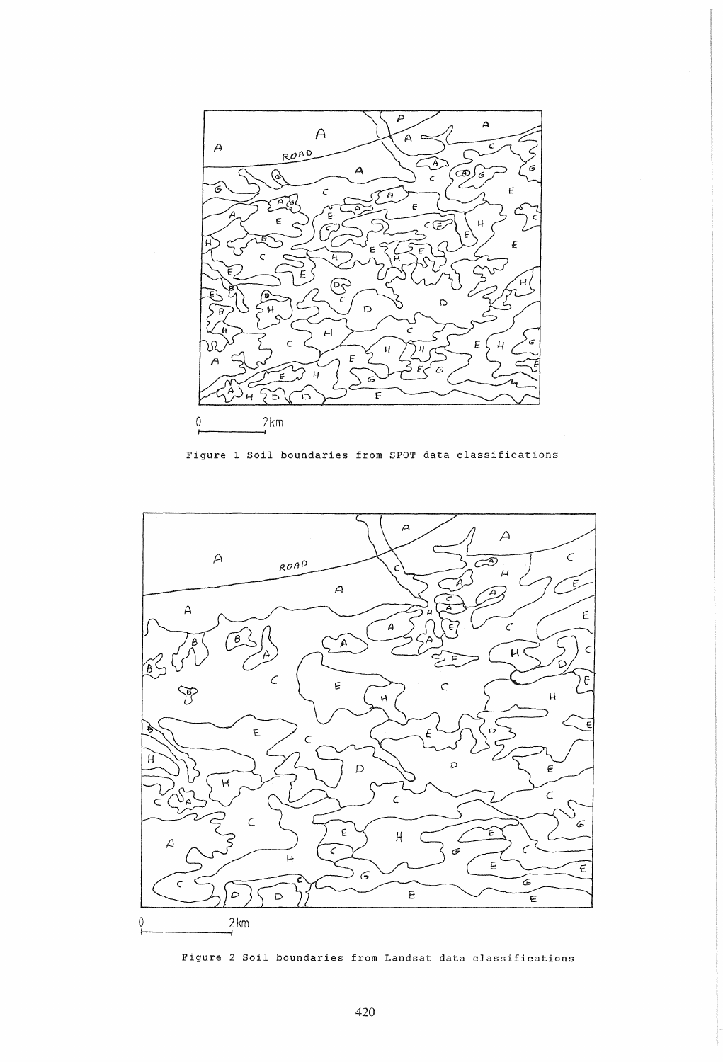

Figure 1 Soil boundaries from SPOT data classifications



Figure 2 Soil boundaries from Landsat data classifications